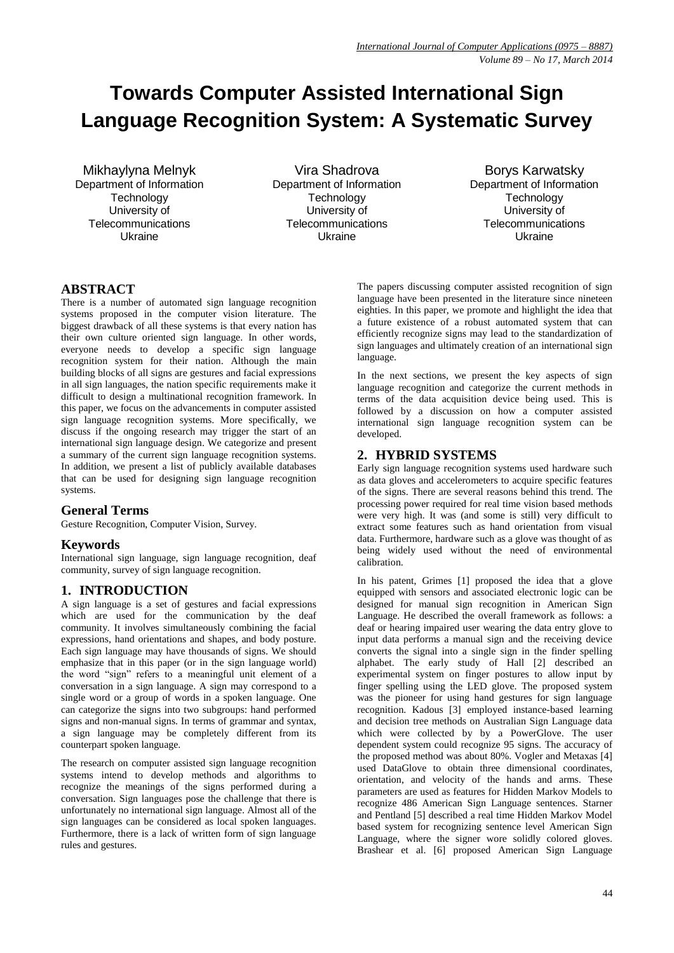# **Towards Computer Assisted International Sign Language Recognition System: A Systematic Survey**

Mikhaylyna Melnyk Department of Information **Technology** University of **Telecommunications** Ukraine

Vira Shadrova Department of Information **Technology** University of **Telecommunications** Ukraine

Borys Karwatsky Department of Information **Technology** University of **Telecommunications** Ukraine

# **ABSTRACT**

There is a number of automated sign language recognition systems proposed in the computer vision literature. The biggest drawback of all these systems is that every nation has their own culture oriented sign language. In other words, everyone needs to develop a specific sign language recognition system for their nation. Although the main building blocks of all signs are gestures and facial expressions in all sign languages, the nation specific requirements make it difficult to design a multinational recognition framework. In this paper, we focus on the advancements in computer assisted sign language recognition systems. More specifically, we discuss if the ongoing research may trigger the start of an international sign language design. We categorize and present a summary of the current sign language recognition systems. In addition, we present a list of publicly available databases that can be used for designing sign language recognition systems.

# **General Terms**

Gesture Recognition, Computer Vision, Survey.

#### **Keywords**

International sign language, sign language recognition, deaf community, survey of sign language recognition.

#### **1. INTRODUCTION**

A sign language is a set of gestures and facial expressions which are used for the communication by the deaf community. It involves simultaneously combining the facial expressions, hand orientations and shapes, and body posture. Each sign language may have thousands of signs. We should emphasize that in this paper (or in the sign language world) the word "sign" refers to a meaningful unit element of a conversation in a sign language. A sign may correspond to a single word or a group of words in a spoken language. One can categorize the signs into two subgroups: hand performed signs and non-manual signs. In terms of grammar and syntax, a sign language may be completely different from its counterpart spoken language.

The research on computer assisted sign language recognition systems intend to develop methods and algorithms to recognize the meanings of the signs performed during a conversation. Sign languages pose the challenge that there is unfortunately no international sign language. Almost all of the sign languages can be considered as local spoken languages. Furthermore, there is a lack of written form of sign language rules and gestures.

The papers discussing computer assisted recognition of sign language have been presented in the literature since nineteen eighties. In this paper, we promote and highlight the idea that a future existence of a robust automated system that can efficiently recognize signs may lead to the standardization of sign languages and ultimately creation of an international sign language.

In the next sections, we present the key aspects of sign language recognition and categorize the current methods in terms of the data acquisition device being used. This is followed by a discussion on how a computer assisted international sign language recognition system can be developed.

# **2. HYBRID SYSTEMS**

Early sign language recognition systems used hardware such as data gloves and accelerometers to acquire specific features of the signs. There are several reasons behind this trend. The processing power required for real time vision based methods were very high. It was (and some is still) very difficult to extract some features such as hand orientation from visual data. Furthermore, hardware such as a glove was thought of as being widely used without the need of environmental calibration.

In his patent, Grimes [1] proposed the idea that a glove equipped with sensors and associated electronic logic can be designed for manual sign recognition in American Sign Language. He described the overall framework as follows: a deaf or hearing impaired user wearing the data entry glove to input data performs a manual sign and the receiving device converts the signal into a single sign in the finder spelling alphabet. The early study of Hall [2] described an experimental system on finger postures to allow input by finger spelling using the LED glove. The proposed system was the pioneer for using hand gestures for sign language recognition. Kadous [3] employed instance-based learning and decision tree methods on Australian Sign Language data which were collected by by a PowerGlove. The user dependent system could recognize 95 signs. The accuracy of the proposed method was about 80%. Vogler and Metaxas [4] used DataGlove to obtain three dimensional coordinates, orientation, and velocity of the hands and arms. These parameters are used as features for Hidden Markov Models to recognize 486 American Sign Language sentences. Starner and Pentland [5] described a real time Hidden Markov Model based system for recognizing sentence level American Sign Language, where the signer wore solidly colored gloves. Brashear et al. [6] proposed American Sign Language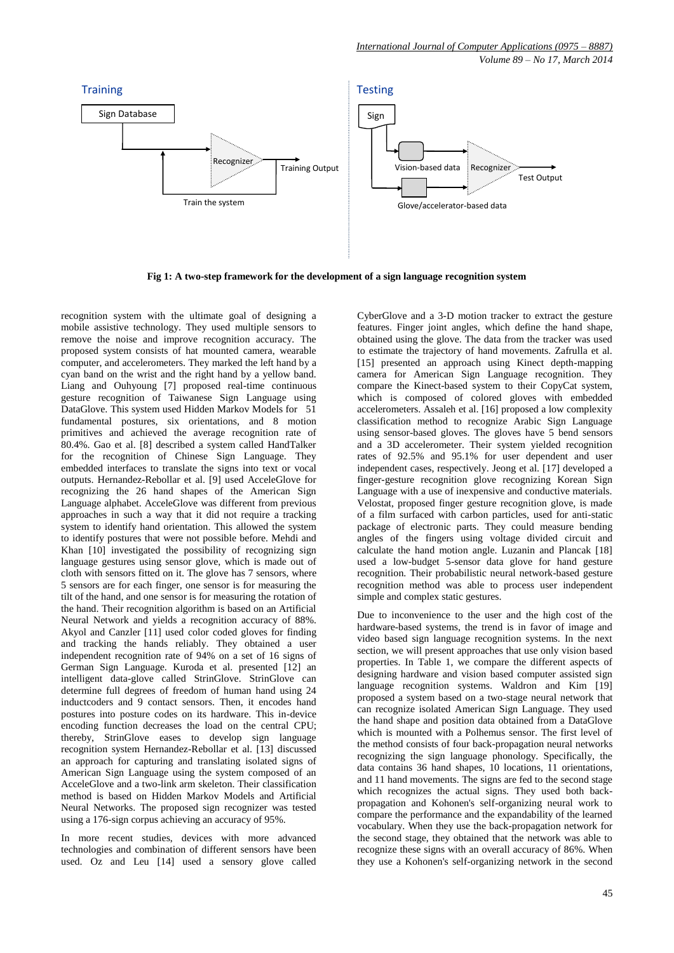



**Fig 1: A two-step framework for the development of a sign language recognition system**

recognition system with the ultimate goal of designing a mobile assistive technology. They used multiple sensors to remove the noise and improve recognition accuracy. The proposed system consists of hat mounted camera, wearable computer, and accelerometers. They marked the left hand by a cyan band on the wrist and the right hand by a yellow band. Liang and Ouhyoung [7] proposed real-time continuous gesture recognition of Taiwanese Sign Language using DataGlove. This system used Hidden Markov Models for 51 fundamental postures, six orientations, and 8 motion primitives and achieved the average recognition rate of 80.4%. Gao et al. [8] described a system called HandTalker for the recognition of Chinese Sign Language. They embedded interfaces to translate the signs into text or vocal outputs. Hernandez-Rebollar et al. [9] used AcceleGlove for recognizing the 26 hand shapes of the American Sign Language alphabet. AcceleGlove was different from previous approaches in such a way that it did not require a tracking system to identify hand orientation. This allowed the system to identify postures that were not possible before. Mehdi and Khan  $\begin{bmatrix} 10 \end{bmatrix}$  investigated the possibility of recognizing sign language gestures using sensor glove, which is made out of cloth with sensors fitted on it. The glove has 7 sensors, where 5 sensors are for each finger, one sensor is for measuring the tilt of the hand, and one sensor is for measuring the rotation of the hand. Their recognition algorithm is based on an Artificial Neural Network and yields a recognition accuracy of 88%. Akyol and Canzler [11] used color coded gloves for finding and tracking the hands reliably. They obtained a user independent recognition rate of 94% on a set of 16 signs of German Sign Language. Kuroda et al. presented [12] an intelligent data-glove called StrinGlove. StrinGlove can determine full degrees of freedom of human hand using 24 inductcoders and 9 contact sensors. Then, it encodes hand postures into posture codes on its hardware. This in-device encoding function decreases the load on the central CPU; thereby, StrinGlove eases to develop sign language recognition system Hernandez-Rebollar et al. [13] discussed an approach for capturing and translating isolated signs of American Sign Language using the system composed of an AcceleGlove and a two-link arm skeleton. Their classification method is based on Hidden Markov Models and Artificial Neural Networks. The proposed sign recognizer was tested using a 176-sign corpus achieving an accuracy of 95%.

In more recent studies, devices with more advanced technologies and combination of different sensors have been used. Oz and Leu [14] used a sensory glove called

CyberGlove and a 3-D motion tracker to extract the gesture features. Finger joint angles, which define the hand shape, obtained using the glove. The data from the tracker was used to estimate the trajectory of hand movements. Zafrulla et al. [15] presented an approach using Kinect depth-mapping camera for American Sign Language recognition. They compare the Kinect-based system to their CopyCat system, which is composed of colored gloves with embedded accelerometers. Assaleh et al. [16] proposed a low complexity classification method to recognize Arabic Sign Language using sensor-based gloves. The gloves have 5 bend sensors and a 3D accelerometer. Their system yielded recognition rates of 92.5% and 95.1% for user dependent and user independent cases, respectively. Jeong et al. [17] developed a finger-gesture recognition glove recognizing Korean Sign Language with a use of inexpensive and conductive materials. Velostat, proposed finger gesture recognition glove, is made of a film surfaced with carbon particles, used for anti-static package of electronic parts. They could measure bending angles of the fingers using voltage divided circuit and calculate the hand motion angle. Luzanin and Plancak [18] used a low-budget 5-sensor data glove for hand gesture recognition. Their probabilistic neural network-based gesture recognition method was able to process user independent simple and complex static gestures.

Due to inconvenience to the user and the high cost of the hardware-based systems, the trend is in favor of image and video based sign language recognition systems. In the next section, we will present approaches that use only vision based properties. In Table 1, we compare the different aspects of designing hardware and vision based computer assisted sign language recognition systems. Waldron and Kim [19] proposed a system based on a two-stage neural network that can recognize isolated American Sign Language. They used the hand shape and position data obtained from a DataGlove which is mounted with a Polhemus sensor. The first level of the method consists of four back-propagation neural networks recognizing the sign language phonology. Specifically, the data contains 36 hand shapes, 10 locations, 11 orientations, and 11 hand movements. The signs are fed to the second stage which recognizes the actual signs. They used both backpropagation and Kohonen's self-organizing neural work to compare the performance and the expandability of the learned vocabulary. When they use the back-propagation network for the second stage, they obtained that the network was able to recognize these signs with an overall accuracy of 86%. When they use a Kohonen's self-organizing network in the second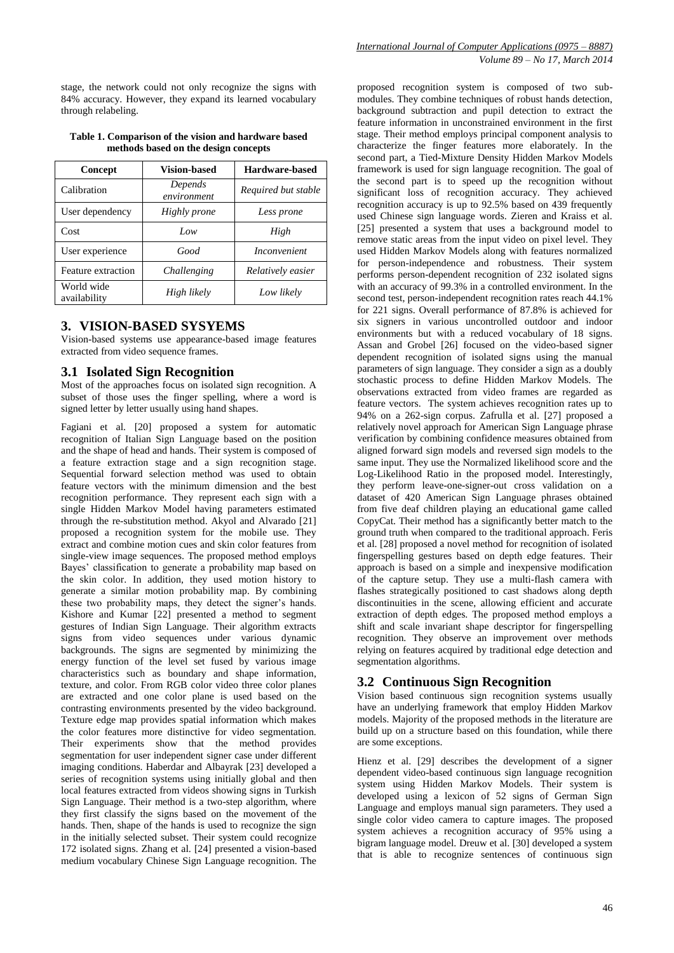stage, the network could not only recognize the signs with 84% accuracy. However, they expand its learned vocabulary through relabeling.

| Concept                    | <b>Vision-based</b>    | Hardware-based      |
|----------------------------|------------------------|---------------------|
| Calibration                | Depends<br>environment | Required but stable |
| User dependency            | Highly prone           | Less prone          |
| Cost                       | Iow                    | High                |
| User experience            | Good                   | Inconvenient        |
| Feature extraction         | Challenging            | Relatively easier   |
| World wide<br>availability | High likely            | Low likely          |

#### **Table 1. Comparison of the vision and hardware based methods based on the design concepts**

#### **3. VISION-BASED SYSYEMS**

Vision-based systems use appearance-based image features extracted from video sequence frames.

#### **3.1 Isolated Sign Recognition**

Most of the approaches focus on isolated sign recognition. A subset of those uses the finger spelling, where a word is signed letter by letter usually using hand shapes.

Fagiani et al. [20] proposed a system for automatic recognition of Italian Sign Language based on the position and the shape of head and hands. Their system is composed of a feature extraction stage and a sign recognition stage. Sequential forward selection method was used to obtain feature vectors with the minimum dimension and the best recognition performance. They represent each sign with a single Hidden Markov Model having parameters estimated through the re-substitution method. Akyol and Alvarado [21] proposed a recognition system for the mobile use. They extract and combine motion cues and skin color features from single-view image sequences. The proposed method employs Bayes' classification to generate a probability map based on the skin color. In addition, they used motion history to generate a similar motion probability map. By combining these two probability maps, they detect the signer's hands. Kishore and Kumar [22] presented a method to segment gestures of Indian Sign Language. Their algorithm extracts signs from video sequences under various dynamic backgrounds. The signs are segmented by minimizing the energy function of the level set fused by various image characteristics such as boundary and shape information, texture, and color. From RGB color video three color planes are extracted and one color plane is used based on the contrasting environments presented by the video background. Texture edge map provides spatial information which makes the color features more distinctive for video segmentation. Their experiments show that the method provides segmentation for user independent signer case under different imaging conditions. Haberdar and Albayrak [23] developed a series of recognition systems using initially global and then local features extracted from videos showing signs in Turkish Sign Language. Their method is a two-step algorithm, where they first classify the signs based on the movement of the hands. Then, shape of the hands is used to recognize the sign in the initially selected subset. Their system could recognize 172 isolated signs. Zhang et al. [24] presented a vision-based medium vocabulary Chinese Sign Language recognition. The

proposed recognition system is composed of two submodules. They combine techniques of robust hands detection, background subtraction and pupil detection to extract the feature information in unconstrained environment in the first stage. Their method employs principal component analysis to characterize the finger features more elaborately. In the second part, a Tied-Mixture Density Hidden Markov Models framework is used for sign language recognition. The goal of the second part is to speed up the recognition without significant loss of recognition accuracy. They achieved recognition accuracy is up to 92.5% based on 439 frequently used Chinese sign language words. Zieren and Kraiss et al. [25] presented a system that uses a background model to remove static areas from the input video on pixel level. They used Hidden Markov Models along with features normalized for person-independence and robustness. Their system performs person-dependent recognition of 232 isolated signs with an accuracy of 99.3% in a controlled environment. In the second test, person-independent recognition rates reach 44.1% for 221 signs. Overall performance of 87.8% is achieved for six signers in various uncontrolled outdoor and indoor environments but with a reduced vocabulary of 18 signs. Assan and Grobel [26] focused on the video-based signer dependent recognition of isolated signs using the manual parameters of sign language. They consider a sign as a doubly stochastic process to define Hidden Markov Models. The observations extracted from video frames are regarded as feature vectors. The system achieves recognition rates up to 94% on a 262-sign corpus. Zafrulla et al. [27] proposed a relatively novel approach for American Sign Language phrase verification by combining confidence measures obtained from aligned forward sign models and reversed sign models to the same input. They use the Normalized likelihood score and the Log-Likelihood Ratio in the proposed model. Interestingly, they perform leave-one-signer-out cross validation on a dataset of 420 American Sign Language phrases obtained from five deaf children playing an educational game called CopyCat. Their method has a significantly better match to the ground truth when compared to the traditional approach. Feris et al. [28] proposed a novel method for recognition of isolated fingerspelling gestures based on depth edge features. Their approach is based on a simple and inexpensive modification of the capture setup. They use a multi-flash camera with flashes strategically positioned to cast shadows along depth discontinuities in the scene, allowing efficient and accurate extraction of depth edges. The proposed method employs a shift and scale invariant shape descriptor for fingerspelling recognition. They observe an improvement over methods relying on features acquired by traditional edge detection and segmentation algorithms.

#### **3.2 Continuous Sign Recognition**

Vision based continuous sign recognition systems usually have an underlying framework that employ Hidden Markov models. Majority of the proposed methods in the literature are build up on a structure based on this foundation, while there are some exceptions.

Hienz et al. [29] describes the development of a signer dependent video-based continuous sign language recognition system using Hidden Markov Models. Their system is developed using a lexicon of 52 signs of German Sign Language and employs manual sign parameters. They used a single color video camera to capture images. The proposed system achieves a recognition accuracy of 95% using a bigram language model. Dreuw et al. [30] developed a system that is able to recognize sentences of continuous sign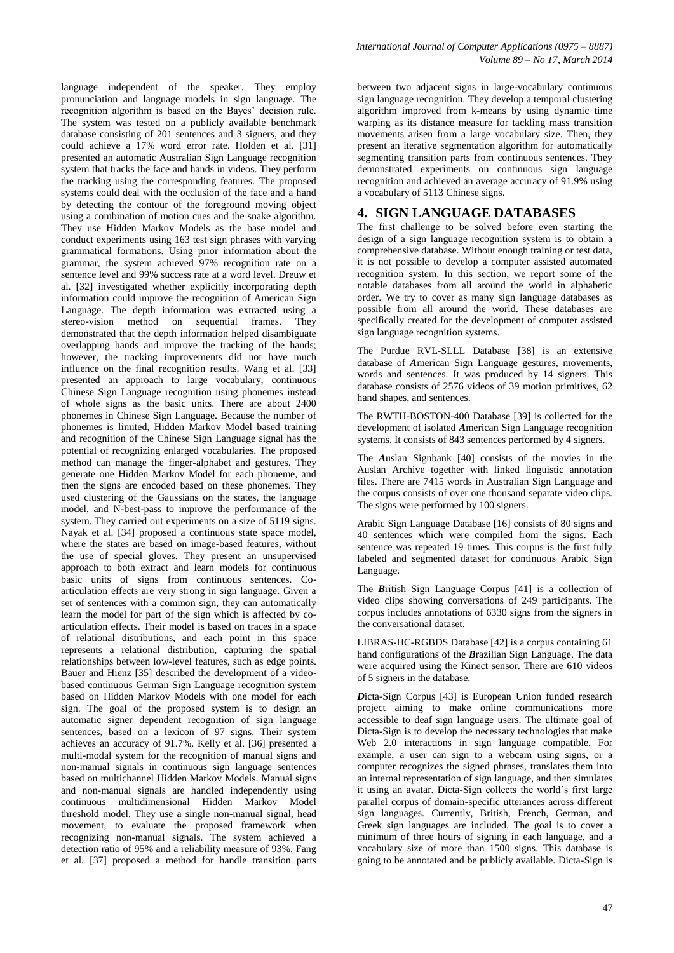language independent of the speaker. They employ pronunciation and language models in sign language. The recognition algorithm is based on the Bayes' decision rule. The system was tested on a publicly available benchmark database consisting of 201 sentences and 3 signers, and they could achieve a 17% word error rate. Holden et al. [31] presented an automatic Australian Sign Language recognition system that tracks the face and hands in videos. They perform the tracking using the corresponding features. The proposed systems could deal with the occlusion of the face and a hand by detecting the contour of the foreground moving object using a combination of motion cues and the snake algorithm. They use Hidden Markov Models as the base model and conduct experiments using 163 test sign phrases with varying grammatical formations. Using prior information about the grammar, the system achieved 97% recognition rate on a sentence level and 99% success rate at a word level. Dreuw et al. [32] investigated whether explicitly incorporating depth information could improve the recognition of American Sign Language. The depth information was extracted using a stereo-vision method on sequential frames. They demonstrated that the depth information helped disambiguate overlapping hands and improve the tracking of the hands; however, the tracking improvements did not have much influence on the final recognition results. Wang et al. [33] presented an approach to large vocabulary, continuous Chinese Sign Language recognition using phonemes instead of whole signs as the basic units. There are about 2400 phonemes in Chinese Sign Language. Because the number of phonemes is limited, Hidden Markov Model based training and recognition of the Chinese Sign Language signal has the potential of recognizing enlarged vocabularies. The proposed method can manage the finger-alphabet and gestures. They generate one Hidden Markov Model for each phoneme, and then the signs are encoded based on these phonemes. They used clustering of the Gaussians on the states, the language model, and N-best-pass to improve the performance of the system. They carried out experiments on a size of 5119 signs. Nayak et al. [34] proposed a continuous state space model, where the states are based on image-based features, without the use of special gloves. They present an unsupervised approach to both extract and learn models for continuous basic units of signs from continuous sentences. Coarticulation effects are very strong in sign language. Given a set of sentences with a common sign, they can automatically learn the model for part of the sign which is affected by coarticulation effects. Their model is based on traces in a space of relational distributions, and each point in this space represents a relational distribution, capturing the spatial relationships between low-level features, such as edge points. Bauer and Hienz [35] described the development of a videobased continuous German Sign Language recognition system based on Hidden Markov Models with one model for each sign. The goal of the proposed system is to design an automatic signer dependent recognition of sign language sentences, based on a lexicon of 97 signs. Their system achieves an accuracy of 91.7%. Kelly et al. [36] presented a multi-modal system for the recognition of manual signs and non-manual signals in continuous sign language sentences based on multichannel Hidden Markov Models. Manual signs and non-manual signals are handled independently using continuous multidimensional Hidden Markov Model threshold model. They use a single non-manual signal, head movement, to evaluate the proposed framework when recognizing non-manual signals. The system achieved a detection ratio of 95% and a reliability measure of 93%. Fang et al. [37] proposed a method for handle transition parts between two adjacent signs in large-vocabulary continuous sign language recognition. They develop a temporal clustering algorithm improved from k-means by using dynamic time warping as its distance measure for tackling mass transition movements arisen from a large vocabulary size. Then, they present an iterative segmentation algorithm for automatically segmenting transition parts from continuous sentences. They demonstrated experiments on continuous sign language recognition and achieved an average accuracy of 91.9% using a vocabulary of 5113 Chinese signs.

# **4. SIGN LANGUAGE DATABASES**

The first challenge to be solved before even starting the design of a sign language recognition system is to obtain a comprehensive database. Without enough training or test data, it is not possible to develop a computer assisted automated recognition system. In this section, we report some of the notable databases from all around the world in alphabetic order. We try to cover as many sign language databases as possible from all around the world. These databases are specifically created for the development of computer assisted sign language recognition systems.

The Purdue RVL-SLLL Database [38] is an extensive database of *A*merican Sign Language gestures, movements, words and sentences. It was produced by 14 signers. This database consists of 2576 videos of 39 motion primitives, 62 hand shapes, and sentences.

The RWTH-BOSTON-400 Database [39] is collected for the development of isolated *A*merican Sign Language recognition systems. It consists of 843 sentences performed by 4 signers.

The *A*uslan Signbank [40] consists of the movies in the Auslan Archive together with linked linguistic annotation files. There are 7415 words in Australian Sign Language and the corpus consists of over one thousand separate video clips. The signs were performed by 100 signers.

Arabic Sign Language Database [16] consists of 80 signs and 40 sentences which were compiled from the signs. Each sentence was repeated 19 times. This corpus is the first fully labeled and segmented dataset for continuous Arabic Sign Language.

The *B*ritish Sign Language Corpus [41] is a collection of video clips showing conversations of 249 participants. The corpus includes annotations of 6330 signs from the signers in the conversational dataset.

LIBRAS-HC-RGBDS Database [42] is a corpus containing 61 hand configurations of the *B*razilian Sign Language. The data were acquired using the Kinect sensor. There are 610 videos of 5 signers in the database.

*D*icta-Sign Corpus [43] is European Union funded research project aiming to make online communications more accessible to deaf sign language users. The ultimate goal of Dicta-Sign is to develop the necessary technologies that make Web 2.0 interactions in sign language compatible. For example, a user can sign to a webcam using signs, or a computer recognizes the signed phrases, translates them into an internal representation of sign language, and then simulates it using an avatar. Dicta-Sign collects the world's first large parallel corpus of domain-specific utterances across different sign languages. Currently, British, French, German, and Greek sign languages are included. The goal is to cover a minimum of three hours of signing in each language, and a vocabulary size of more than 1500 signs. This database is going to be annotated and be publicly available. Dicta-Sign is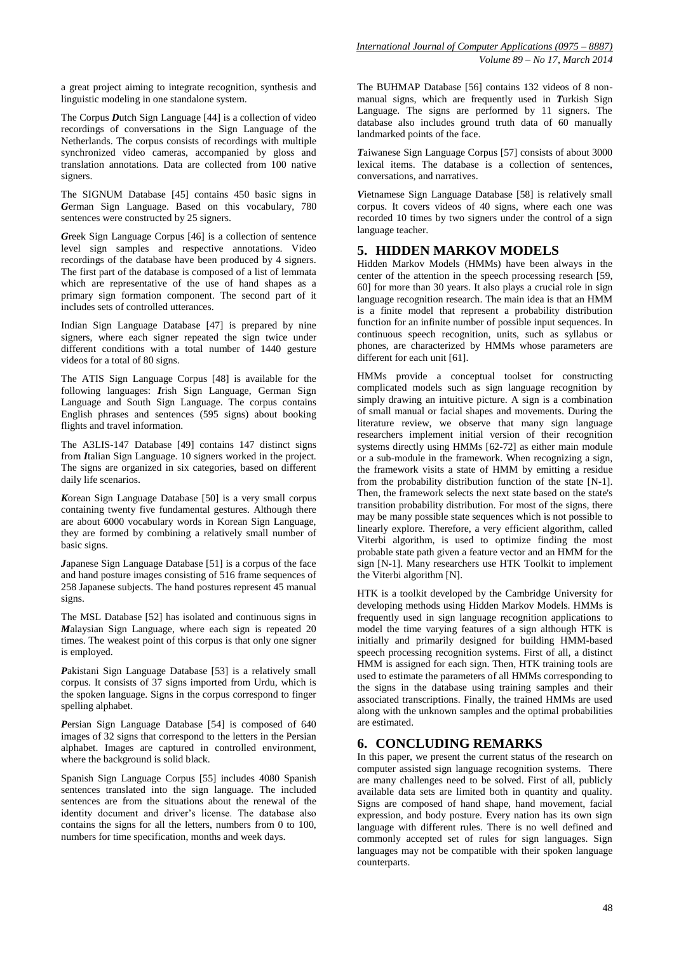a great project aiming to integrate recognition, synthesis and linguistic modeling in one standalone system.

The Corpus *D*utch Sign Language [44] is a collection of video recordings of conversations in the Sign Language of the Netherlands. The corpus consists of recordings with multiple synchronized video cameras, accompanied by gloss and translation annotations. Data are collected from 100 native signers.

The SIGNUM Database [45] contains 450 basic signs in *G*erman Sign Language. Based on this vocabulary, 780 sentences were constructed by 25 signers.

*G*reek Sign Language Corpus [46] is a collection of sentence level sign samples and respective annotations. Video recordings of the database have been produced by 4 signers. The first part of the database is composed of a list of lemmata which are representative of the use of hand shapes as a primary sign formation component. The second part of it includes sets of controlled utterances.

Indian Sign Language Database [47] is prepared by nine signers, where each signer repeated the sign twice under different conditions with a total number of 1440 gesture videos for a total of 80 signs.

The ATIS Sign Language Corpus [48] is available for the following languages: *I*rish Sign Language, German Sign Language and South Sign Language. The corpus contains English phrases and sentences (595 signs) about booking flights and travel information.

The A3LIS-147 Database [49] contains 147 distinct signs from *I*talian Sign Language. 10 signers worked in the project. The signs are organized in six categories, based on different daily life scenarios.

*K*orean Sign Language Database [50] is a very small corpus containing twenty five fundamental gestures. Although there are about 6000 vocabulary words in Korean Sign Language, they are formed by combining a relatively small number of basic signs.

*J*apanese Sign Language Database [51] is a corpus of the face and hand posture images consisting of 516 frame sequences of 258 Japanese subjects. The hand postures represent 45 manual signs.

The MSL Database [52] has isolated and continuous signs in *M*alaysian Sign Language, where each sign is repeated 20 times. The weakest point of this corpus is that only one signer is employed.

*P*akistani Sign Language Database [53] is a relatively small corpus. It consists of 37 signs imported from Urdu, which is the spoken language. Signs in the corpus correspond to finger spelling alphabet.

*P*ersian Sign Language Database [54] is composed of 640 images of 32 signs that correspond to the letters in the Persian alphabet. Images are captured in controlled environment, where the background is solid black.

Spanish Sign Language Corpus [55] includes 4080 Spanish sentences translated into the sign language. The included sentences are from the situations about the renewal of the identity document and driver's license. The database also contains the signs for all the letters, numbers from 0 to 100, numbers for time specification, months and week days.

The BUHMAP Database [56] contains 132 videos of 8 nonmanual signs, which are frequently used in *T*urkish Sign Language. The signs are performed by 11 signers. The database also includes ground truth data of 60 manually landmarked points of the face.

*T*aiwanese Sign Language Corpus [57] consists of about 3000 lexical items. The database is a collection of sentences, conversations, and narratives.

*V*ietnamese Sign Language Database [58] is relatively small corpus. It covers videos of 40 signs, where each one was recorded 10 times by two signers under the control of a sign language teacher.

### **5. HIDDEN MARKOV MODELS**

Hidden Markov Models (HMMs) have been always in the center of the attention in the speech processing research [59, 60] for more than 30 years. It also plays a crucial role in sign language recognition research. The main idea is that an HMM is a finite model that represent a probability distribution function for an infinite number of possible input sequences. In continuous speech recognition, units, such as syllabus or phones, are characterized by HMMs whose parameters are different for each unit [61].

HMMs provide a conceptual toolset for constructing complicated models such as sign language recognition by simply drawing an intuitive picture. A sign is a combination of small manual or facial shapes and movements. During the literature review, we observe that many sign language researchers implement initial version of their recognition systems directly using HMMs [62-72] as either main module or a sub-module in the framework. When recognizing a sign, the framework visits a state of HMM by emitting a residue from the probability distribution function of the state [N-1]. Then, the framework selects the next state based on the state's transition probability distribution. For most of the signs, there may be many possible state sequences which is not possible to linearly explore. Therefore, a very efficient algorithm, called Viterbi algorithm, is used to optimize finding the most probable state path given a feature vector and an HMM for the sign [N-1]. Many researchers use HTK Toolkit to implement the Viterbi algorithm [N].

HTK is a toolkit developed by the Cambridge University for developing methods using Hidden Markov Models. HMMs is frequently used in sign language recognition applications to model the time varying features of a sign although HTK is initially and primarily designed for building HMM-based speech processing recognition systems. First of all, a distinct HMM is assigned for each sign. Then, HTK training tools are used to estimate the parameters of all HMMs corresponding to the signs in the database using training samples and their associated transcriptions. Finally, the trained HMMs are used along with the unknown samples and the optimal probabilities are estimated.

# **6. CONCLUDING REMARKS**

In this paper, we present the current status of the research on computer assisted sign language recognition systems. There are many challenges need to be solved. First of all, publicly available data sets are limited both in quantity and quality. Signs are composed of hand shape, hand movement, facial expression, and body posture. Every nation has its own sign language with different rules. There is no well defined and commonly accepted set of rules for sign languages. Sign languages may not be compatible with their spoken language counterparts.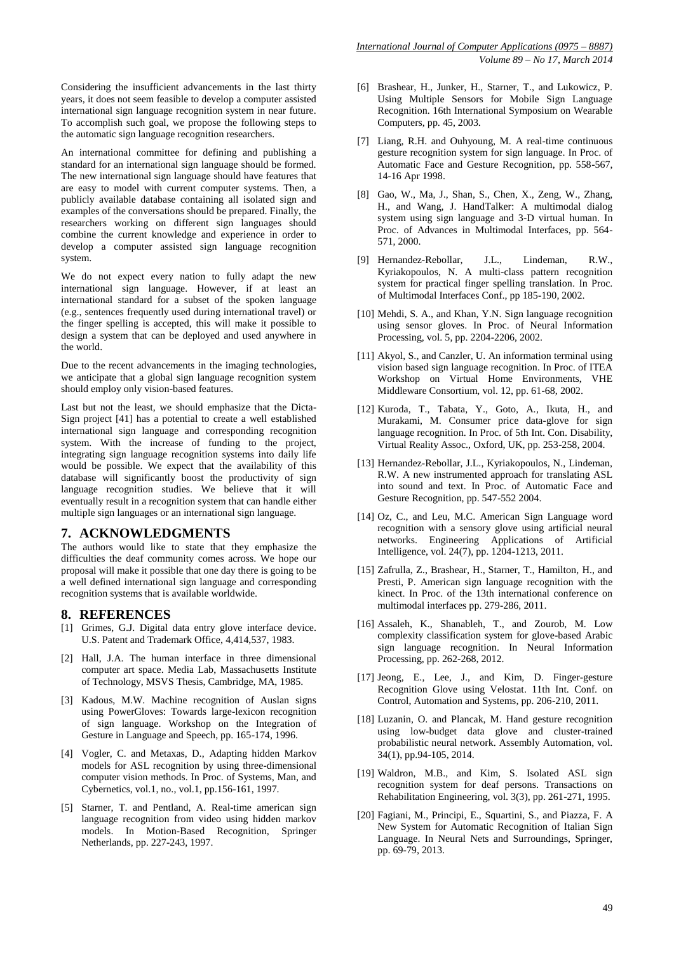Considering the insufficient advancements in the last thirty years, it does not seem feasible to develop a computer assisted international sign language recognition system in near future. To accomplish such goal, we propose the following steps to the automatic sign language recognition researchers.

An international committee for defining and publishing a standard for an international sign language should be formed. The new international sign language should have features that are easy to model with current computer systems. Then, a publicly available database containing all isolated sign and examples of the conversations should be prepared. Finally, the researchers working on different sign languages should combine the current knowledge and experience in order to develop a computer assisted sign language recognition system.

We do not expect every nation to fully adapt the new international sign language. However, if at least an international standard for a subset of the spoken language (e.g., sentences frequently used during international travel) or the finger spelling is accepted, this will make it possible to design a system that can be deployed and used anywhere in the world.

Due to the recent advancements in the imaging technologies, we anticipate that a global sign language recognition system should employ only vision-based features.

Last but not the least, we should emphasize that the Dicta-Sign project [41] has a potential to create a well established international sign language and corresponding recognition system. With the increase of funding to the project, integrating sign language recognition systems into daily life would be possible. We expect that the availability of this database will significantly boost the productivity of sign language recognition studies. We believe that it will eventually result in a recognition system that can handle either multiple sign languages or an international sign language.

#### **7. ACKNOWLEDGMENTS**

The authors would like to state that they emphasize the difficulties the deaf community comes across. We hope our proposal will make it possible that one day there is going to be a well defined international sign language and corresponding recognition systems that is available worldwide.

#### **8. REFERENCES**

- [1] Grimes, G.J. Digital data entry glove interface device. U.S. Patent and Trademark Office, 4,414,537, 1983.
- [2] Hall, J.A. The human interface in three dimensional computer art space. Media Lab, Massachusetts Institute of Technology, MSVS Thesis, Cambridge, MA, 1985.
- [3] Kadous, M.W. Machine recognition of Auslan signs using PowerGloves: Towards large-lexicon recognition of sign language. Workshop on the Integration of Gesture in Language and Speech, pp. 165-174, 1996.
- [4] Vogler, C. and Metaxas, D., Adapting hidden Markov models for ASL recognition by using three-dimensional computer vision methods. In Proc. of Systems, Man, and Cybernetics, vol.1, no., vol.1, pp.156-161, 1997.
- [5] Starner, T. and Pentland, A. Real-time american sign language recognition from video using hidden markov models. In Motion-Based Recognition, Springer Netherlands, pp. 227-243, 1997.
- [6] Brashear, H., Junker, H., Starner, T., and Lukowicz, P. Using Multiple Sensors for Mobile Sign Language Recognition. 16th International Symposium on Wearable Computers, pp. 45, 2003.
- [7] Liang, R.H. and Ouhyoung, M. A real-time continuous gesture recognition system for sign language. In Proc. of Automatic Face and Gesture Recognition, pp. 558-567, 14-16 Apr 1998.
- [8] Gao, W., Ma, J., Shan, S., Chen, X., Zeng, W., Zhang, H., and Wang, J. HandTalker: A multimodal dialog system using sign language and 3-D virtual human. In Proc. of Advances in Multimodal Interfaces, pp. 564- 571, 2000.
- [9] Hernandez-Rebollar, J.L., Lindeman, R.W., Kyriakopoulos, N. A multi-class pattern recognition system for practical finger spelling translation. In Proc. of Multimodal Interfaces Conf., pp 185-190, 2002.
- [10] Mehdi, S. A., and Khan, Y.N. Sign language recognition using sensor gloves. In Proc. of Neural Information Processing, vol. 5, pp. 2204-2206, 2002.
- [11] Akyol, S., and Canzler, U. An information terminal using vision based sign language recognition. In Proc. of ITEA Workshop on Virtual Home Environments, VHE Middleware Consortium, vol. 12, pp. 61-68, 2002.
- [12] Kuroda, T., Tabata, Y., Goto, A., Ikuta, H., and Murakami, M. Consumer price data-glove for sign language recognition. In Proc. of 5th Int. Con. Disability, Virtual Reality Assoc., Oxford, UK, pp. 253-258, 2004.
- [13] Hernandez-Rebollar, J.L., Kyriakopoulos, N., Lindeman, R.W. A new instrumented approach for translating ASL into sound and text. In Proc. of Automatic Face and Gesture Recognition, pp. 547-552 2004.
- [14] Oz, C., and Leu, M.C. American Sign Language word recognition with a sensory glove using artificial neural networks. Engineering Applications of Artificial Intelligence, vol. 24(7), pp. 1204-1213, 2011.
- [15] Zafrulla, Z., Brashear, H., Starner, T., Hamilton, H., and Presti, P. American sign language recognition with the kinect. In Proc. of the 13th international conference on multimodal interfaces pp. 279-286, 2011.
- [16] Assaleh, K., Shanableh, T., and Zourob, M. Low complexity classification system for glove-based Arabic sign language recognition. In Neural Information Processing, pp. 262-268, 2012.
- [17] Jeong, E., Lee, J., and Kim, D. Finger-gesture Recognition Glove using Velostat. 11th Int. Conf. on Control, Automation and Systems, pp. 206-210, 2011.
- [18] Luzanin, O. and Plancak, M. Hand gesture recognition using low-budget data glove and cluster-trained probabilistic neural network. Assembly Automation, vol. 34(1), pp.94-105, 2014.
- [19] Waldron, M.B., and Kim, S. Isolated ASL sign recognition system for deaf persons. Transactions on Rehabilitation Engineering, vol. 3(3), pp. 261-271, 1995.
- [20] Fagiani, M., Principi, E., Squartini, S., and Piazza, F. A New System for Automatic Recognition of Italian Sign Language. In Neural Nets and Surroundings, Springer, pp. 69-79, 2013.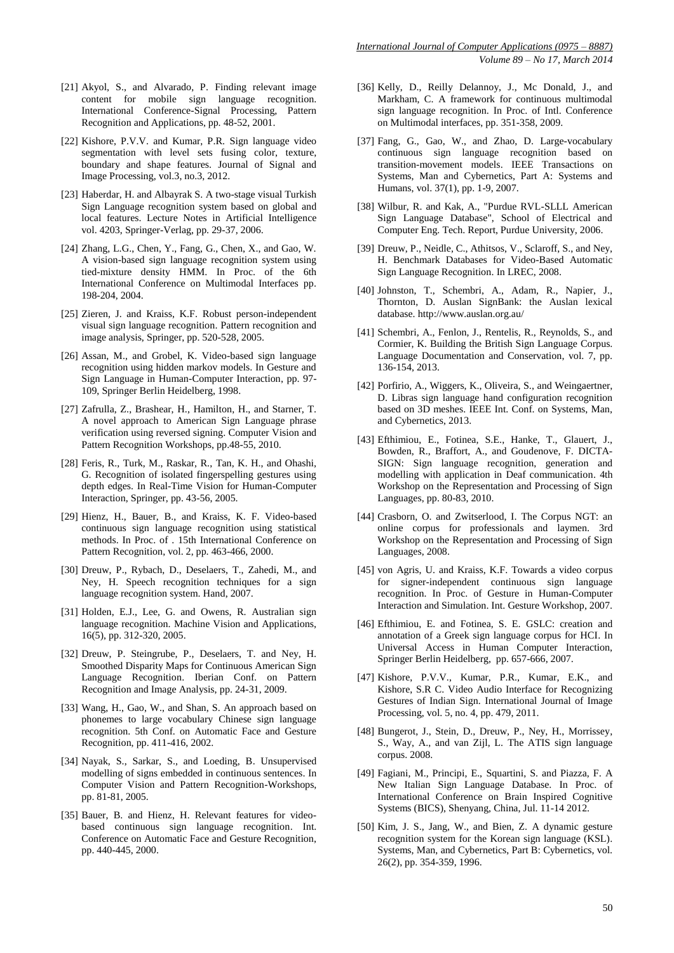- [21] Akyol, S., and Alvarado, P. Finding relevant image content for mobile sign language recognition. International Conference-Signal Processing, Pattern Recognition and Applications, pp. 48-52, 2001.
- [22] Kishore, P.V.V. and Kumar, P.R. Sign language video segmentation with level sets fusing color, texture, boundary and shape features. Journal of Signal and Image Processing, vol.3, no.3, 2012.
- [23] Haberdar, H. and Albayrak S. A two-stage visual Turkish Sign Language recognition system based on global and local features. Lecture Notes in Artificial Intelligence vol. 4203, Springer-Verlag, pp. 29-37, 2006.
- [24] Zhang, L.G., Chen, Y., Fang, G., Chen, X., and Gao, W. A vision-based sign language recognition system using tied-mixture density HMM. In Proc. of the 6th International Conference on Multimodal Interfaces pp. 198-204, 2004.
- [25] Zieren, J. and Kraiss, K.F. Robust person-independent visual sign language recognition. Pattern recognition and image analysis, Springer, pp. 520-528, 2005.
- [26] Assan, M., and Grobel, K. Video-based sign language recognition using hidden markov models. In Gesture and Sign Language in Human-Computer Interaction, pp. 97- 109, Springer Berlin Heidelberg, 1998.
- [27] Zafrulla, Z., Brashear, H., Hamilton, H., and Starner, T. A novel approach to American Sign Language phrase verification using reversed signing. Computer Vision and Pattern Recognition Workshops, pp.48-55, 2010.
- [28] Feris, R., Turk, M., Raskar, R., Tan, K. H., and Ohashi, G. Recognition of isolated fingerspelling gestures using depth edges. In Real-Time Vision for Human-Computer Interaction, Springer, pp. 43-56, 2005.
- [29] Hienz, H., Bauer, B., and Kraiss, K. F. Video-based continuous sign language recognition using statistical methods. In Proc. of . 15th International Conference on Pattern Recognition, vol. 2, pp. 463-466, 2000.
- [30] Dreuw, P., Rybach, D., Deselaers, T., Zahedi, M., and Ney, H. Speech recognition techniques for a sign language recognition system. Hand, 2007.
- [31] Holden, E.J., Lee, G. and Owens, R. Australian sign language recognition. Machine Vision and Applications, 16(5), pp. 312-320, 2005.
- [32] Dreuw, P. Steingrube, P., Deselaers, T. and Ney, H. Smoothed Disparity Maps for Continuous American Sign Language Recognition. Iberian Conf. on Pattern Recognition and Image Analysis, pp. 24-31, 2009.
- [33] Wang, H., Gao, W., and Shan, S. An approach based on phonemes to large vocabulary Chinese sign language recognition. 5th Conf. on Automatic Face and Gesture Recognition, pp. 411-416, 2002.
- [34] Nayak, S., Sarkar, S., and Loeding, B. Unsupervised modelling of signs embedded in continuous sentences. In Computer Vision and Pattern Recognition-Workshops, pp. 81-81, 2005.
- [35] Bauer, B. and Hienz, H. Relevant features for videobased continuous sign language recognition. Int. Conference on Automatic Face and Gesture Recognition, pp. 440-445, 2000.
- [36] Kelly, D., Reilly Delannoy, J., Mc Donald, J., and Markham, C. A framework for continuous multimodal sign language recognition. In Proc. of Intl. Conference on Multimodal interfaces, pp. 351-358, 2009.
- [37] Fang, G., Gao, W., and Zhao, D. Large-vocabulary continuous sign language recognition based on transition-movement models. IEEE Transactions on Systems, Man and Cybernetics, Part A: Systems and Humans, vol. 37(1), pp. 1-9, 2007.
- [38] Wilbur, R. and Kak, A., "Purdue RVL-SLLL American Sign Language Database", School of Electrical and Computer Eng. Tech. Report, Purdue University, 2006.
- [39] Dreuw, P., Neidle, C., Athitsos, V., Sclaroff, S., and Ney, H. Benchmark Databases for Video-Based Automatic Sign Language Recognition. In LREC, 2008.
- [40] Johnston, T., Schembri, A., Adam, R., Napier, J., Thornton, D. Auslan SignBank: the Auslan lexical database. http://www.auslan.org.au/
- [41] Schembri, A., Fenlon, J., Rentelis, R., Reynolds, S., and Cormier, K. Building the British Sign Language Corpus. Language Documentation and Conservation, vol. 7, pp. 136-154, 2013.
- [42] Porfirio, A., Wiggers, K., Oliveira, S., and Weingaertner, D. Libras sign language hand configuration recognition based on 3D meshes. IEEE Int. Conf. on Systems, Man, and Cybernetics, 2013.
- [43] Efthimiou, E., Fotinea, S.E., Hanke, T., Glauert, J., Bowden, R., Braffort, A., and Goudenove, F. DICTA-SIGN: Sign language recognition, generation and modelling with application in Deaf communication. 4th Workshop on the Representation and Processing of Sign Languages, pp. 80-83, 2010.
- [44] Crasborn, O. and Zwitserlood, I. The Corpus NGT: an online corpus for professionals and laymen. 3rd Workshop on the Representation and Processing of Sign Languages, 2008.
- [45] von Agris, U. and Kraiss, K.F. Towards a video corpus for signer-independent continuous sign language recognition. In Proc. of Gesture in Human-Computer Interaction and Simulation. Int. Gesture Workshop, 2007.
- [46] Efthimiou, E. and Fotinea, S. E. GSLC: creation and annotation of a Greek sign language corpus for HCI. In Universal Access in Human Computer Interaction, Springer Berlin Heidelberg, pp. 657-666, 2007.
- [47] Kishore, P.V.V., Kumar, P.R., Kumar, E.K., and Kishore, S.R C. Video Audio Interface for Recognizing Gestures of Indian Sign. International Journal of Image Processing, vol. 5, no. 4, pp. 479, 2011.
- [48] Bungerot, J., Stein, D., Dreuw, P., Ney, H., Morrissey, S., Way, A., and van Zijl, L. The ATIS sign language corpus. 2008.
- [49] Fagiani, M., Principi, E., Squartini, S. and Piazza, F. A New Italian Sign Language Database. In Proc. of International Conference on Brain Inspired Cognitive Systems (BICS), Shenyang, China, Jul. 11-14 2012.
- [50] Kim, J. S., Jang, W., and Bien, Z. A dynamic gesture recognition system for the Korean sign language (KSL). Systems, Man, and Cybernetics, Part B: Cybernetics, vol. 26(2), pp. 354-359, 1996.